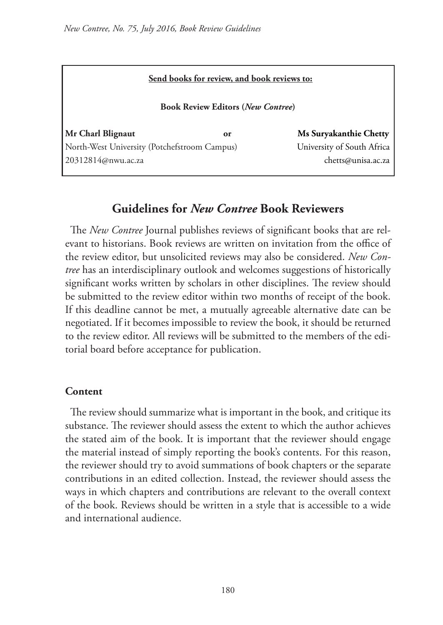| Send books for review, and book reviews to:  |    |                            |
|----------------------------------------------|----|----------------------------|
| <b>Book Review Editors (New Contree)</b>     |    |                            |
| Mr Charl Blignaut                            | or | Ms Suryakanthie Chetty     |
| North-West University (Potchefstroom Campus) |    | University of South Africa |
| 20312814@nwu.ac.za                           |    | chetts@unisa.ac.za         |

# **Guidelines for** *New Contree* **Book Reviewers**

The *New Contree* Journal publishes reviews of significant books that are relevant to historians. Book reviews are written on invitation from the office of the review editor, but unsolicited reviews may also be considered. *New Contree* has an interdisciplinary outlook and welcomes suggestions of historically significant works written by scholars in other disciplines. The review should be submitted to the review editor within two months of receipt of the book. If this deadline cannot be met, a mutually agreeable alternative date can be negotiated. If it becomes impossible to review the book, it should be returned to the review editor. All reviews will be submitted to the members of the editorial board before acceptance for publication.

## **Content**

The review should summarize what is important in the book, and critique its substance. The reviewer should assess the extent to which the author achieves the stated aim of the book. It is important that the reviewer should engage the material instead of simply reporting the book's contents. For this reason, the reviewer should try to avoid summations of book chapters or the separate contributions in an edited collection. Instead, the reviewer should assess the ways in which chapters and contributions are relevant to the overall context of the book. Reviews should be written in a style that is accessible to a wide and international audience.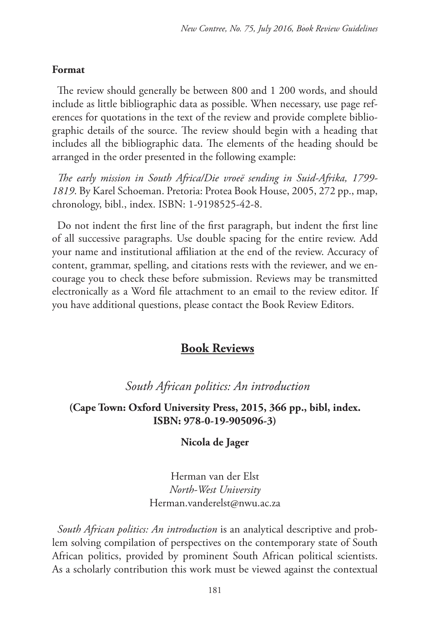#### **Format**

The review should generally be between 800 and 1 200 words, and should include as little bibliographic data as possible. When necessary, use page references for quotations in the text of the review and provide complete bibliographic details of the source. The review should begin with a heading that includes all the bibliographic data. The elements of the heading should be arranged in the order presented in the following example:

*The early mission in South Africa/Die vroeë sending in Suid-Afrika, 1799- 1819*. By Karel Schoeman. Pretoria: Protea Book House, 2005, 272 pp., map, chronology, bibl., index. ISBN: 1-9198525-42-8.

Do not indent the first line of the first paragraph, but indent the first line of all successive paragraphs. Use double spacing for the entire review. Add your name and institutional affiliation at the end of the review. Accuracy of content, grammar, spelling, and citations rests with the reviewer, and we encourage you to check these before submission. Reviews may be transmitted electronically as a Word file attachment to an email to the review editor. If you have additional questions, please contact the Book Review Editors.

## **Book Reviews**

# *South African politics: An introduction*

#### **(Cape Town: Oxford University Press, 2015, 366 pp., bibl, index. ISBN: 978-0-19-905096-3)**

#### **Nicola de Jager**

Herman van der Elst *North-West University* Herman.vanderelst@nwu.ac.za

*South African politics: An introduction* is an analytical descriptive and problem solving compilation of perspectives on the contemporary state of South African politics, provided by prominent South African political scientists. As a scholarly contribution this work must be viewed against the contextual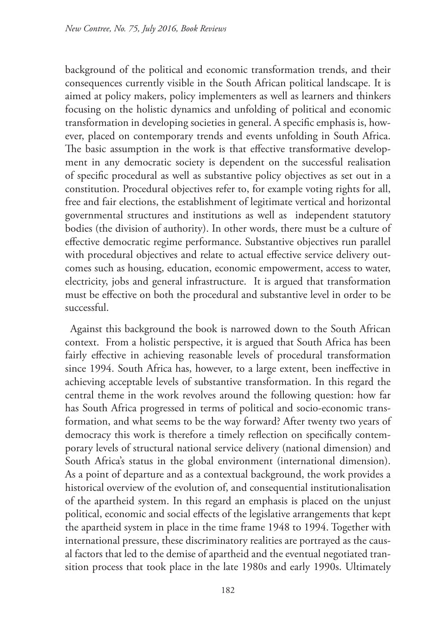background of the political and economic transformation trends, and their consequences currently visible in the South African political landscape. It is aimed at policy makers, policy implementers as well as learners and thinkers focusing on the holistic dynamics and unfolding of political and economic transformation in developing societies in general. A specific emphasis is, however, placed on contemporary trends and events unfolding in South Africa. The basic assumption in the work is that effective transformative development in any democratic society is dependent on the successful realisation of specific procedural as well as substantive policy objectives as set out in a constitution. Procedural objectives refer to, for example voting rights for all, free and fair elections, the establishment of legitimate vertical and horizontal governmental structures and institutions as well as independent statutory bodies (the division of authority). In other words, there must be a culture of effective democratic regime performance. Substantive objectives run parallel with procedural objectives and relate to actual effective service delivery outcomes such as housing, education, economic empowerment, access to water, electricity, jobs and general infrastructure. It is argued that transformation must be effective on both the procedural and substantive level in order to be successful.

Against this background the book is narrowed down to the South African context. From a holistic perspective, it is argued that South Africa has been fairly effective in achieving reasonable levels of procedural transformation since 1994. South Africa has, however, to a large extent, been ineffective in achieving acceptable levels of substantive transformation. In this regard the central theme in the work revolves around the following question: how far has South Africa progressed in terms of political and socio-economic transformation, and what seems to be the way forward? After twenty two years of democracy this work is therefore a timely reflection on specifically contemporary levels of structural national service delivery (national dimension) and South Africa's status in the global environment (international dimension). As a point of departure and as a contextual background, the work provides a historical overview of the evolution of, and consequential institutionalisation of the apartheid system. In this regard an emphasis is placed on the unjust political, economic and social effects of the legislative arrangements that kept the apartheid system in place in the time frame 1948 to 1994. Together with international pressure, these discriminatory realities are portrayed as the causal factors that led to the demise of apartheid and the eventual negotiated transition process that took place in the late 1980s and early 1990s. Ultimately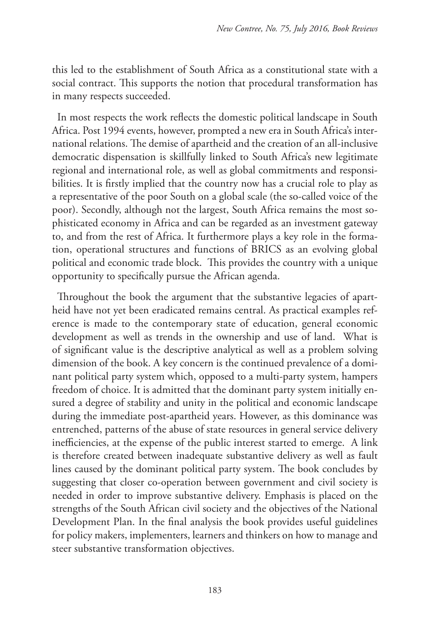this led to the establishment of South Africa as a constitutional state with a social contract. This supports the notion that procedural transformation has in many respects succeeded.

In most respects the work reflects the domestic political landscape in South Africa. Post 1994 events, however, prompted a new era in South Africa's international relations. The demise of apartheid and the creation of an all-inclusive democratic dispensation is skillfully linked to South Africa's new legitimate regional and international role, as well as global commitments and responsibilities. It is firstly implied that the country now has a crucial role to play as a representative of the poor South on a global scale (the so-called voice of the poor). Secondly, although not the largest, South Africa remains the most sophisticated economy in Africa and can be regarded as an investment gateway to, and from the rest of Africa. It furthermore plays a key role in the formation, operational structures and functions of BRICS as an evolving global political and economic trade block. This provides the country with a unique opportunity to specifically pursue the African agenda.

Throughout the book the argument that the substantive legacies of apartheid have not yet been eradicated remains central. As practical examples reference is made to the contemporary state of education, general economic development as well as trends in the ownership and use of land. What is of significant value is the descriptive analytical as well as a problem solving dimension of the book. A key concern is the continued prevalence of a dominant political party system which, opposed to a multi-party system, hampers freedom of choice. It is admitted that the dominant party system initially ensured a degree of stability and unity in the political and economic landscape during the immediate post-apartheid years. However, as this dominance was entrenched, patterns of the abuse of state resources in general service delivery inefficiencies, at the expense of the public interest started to emerge. A link is therefore created between inadequate substantive delivery as well as fault lines caused by the dominant political party system. The book concludes by suggesting that closer co-operation between government and civil society is needed in order to improve substantive delivery. Emphasis is placed on the strengths of the South African civil society and the objectives of the National Development Plan. In the final analysis the book provides useful guidelines for policy makers, implementers, learners and thinkers on how to manage and steer substantive transformation objectives.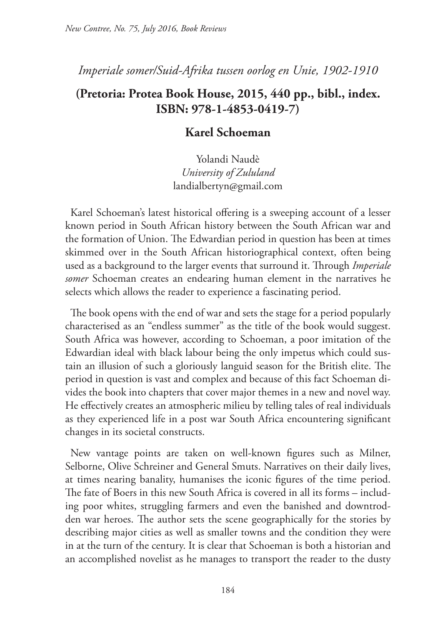# *Imperiale somer/Suid-Afrika tussen oorlog en Unie, 1902-1910*

# **(Pretoria: Protea Book House, 2015, 440 pp., bibl., index. ISBN: 978-1-4853-0419-7)**

## **Karel Schoeman**

Yolandi Naudè *University of Zululand* landialbertyn@gmail.com

Karel Schoeman's latest historical offering is a sweeping account of a lesser known period in South African history between the South African war and the formation of Union. The Edwardian period in question has been at times skimmed over in the South African historiographical context, often being used as a background to the larger events that surround it. Through *Imperiale somer* Schoeman creates an endearing human element in the narratives he selects which allows the reader to experience a fascinating period.

The book opens with the end of war and sets the stage for a period popularly characterised as an "endless summer" as the title of the book would suggest. South Africa was however, according to Schoeman, a poor imitation of the Edwardian ideal with black labour being the only impetus which could sustain an illusion of such a gloriously languid season for the British elite. The period in question is vast and complex and because of this fact Schoeman divides the book into chapters that cover major themes in a new and novel way. He effectively creates an atmospheric milieu by telling tales of real individuals as they experienced life in a post war South Africa encountering significant changes in its societal constructs.

New vantage points are taken on well-known figures such as Milner, Selborne, Olive Schreiner and General Smuts. Narratives on their daily lives, at times nearing banality, humanises the iconic figures of the time period. The fate of Boers in this new South Africa is covered in all its forms – including poor whites, struggling farmers and even the banished and downtrodden war heroes. The author sets the scene geographically for the stories by describing major cities as well as smaller towns and the condition they were in at the turn of the century. It is clear that Schoeman is both a historian and an accomplished novelist as he manages to transport the reader to the dusty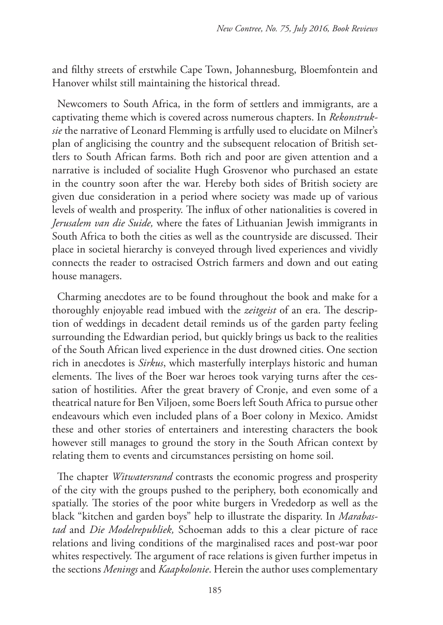and filthy streets of erstwhile Cape Town, Johannesburg, Bloemfontein and Hanover whilst still maintaining the historical thread.

Newcomers to South Africa, in the form of settlers and immigrants, are a captivating theme which is covered across numerous chapters. In *Rekonstruksie* the narrative of Leonard Flemming is artfully used to elucidate on Milner's plan of anglicising the country and the subsequent relocation of British settlers to South African farms. Both rich and poor are given attention and a narrative is included of socialite Hugh Grosvenor who purchased an estate in the country soon after the war. Hereby both sides of British society are given due consideration in a period where society was made up of various levels of wealth and prosperity. The influx of other nationalities is covered in *Jerusalem van die Suide,* where the fates of Lithuanian Jewish immigrants in South Africa to both the cities as well as the countryside are discussed. Their place in societal hierarchy is conveyed through lived experiences and vividly connects the reader to ostracised Ostrich farmers and down and out eating house managers.

Charming anecdotes are to be found throughout the book and make for a thoroughly enjoyable read imbued with the *zeitgeist* of an era. The description of weddings in decadent detail reminds us of the garden party feeling surrounding the Edwardian period, but quickly brings us back to the realities of the South African lived experience in the dust drowned cities. One section rich in anecdotes is *Sirkus*, which masterfully interplays historic and human elements. The lives of the Boer war heroes took varying turns after the cessation of hostilities. After the great bravery of Cronje, and even some of a theatrical nature for Ben Viljoen, some Boers left South Africa to pursue other endeavours which even included plans of a Boer colony in Mexico. Amidst these and other stories of entertainers and interesting characters the book however still manages to ground the story in the South African context by relating them to events and circumstances persisting on home soil.

The chapter *Witwatersrand* contrasts the economic progress and prosperity of the city with the groups pushed to the periphery, both economically and spatially. The stories of the poor white burgers in Vrededorp as well as the black "kitchen and garden boys" help to illustrate the disparity. In *Marabastad* and *Die Modelrepubliek,* Schoeman adds to this a clear picture of race relations and living conditions of the marginalised races and post-war poor whites respectively. The argument of race relations is given further impetus in the sections *Menings* and *Kaapkolonie*. Herein the author uses complementary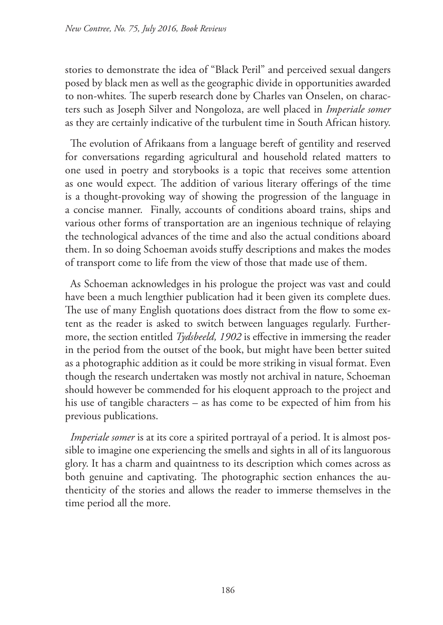stories to demonstrate the idea of "Black Peril" and perceived sexual dangers posed by black men as well as the geographic divide in opportunities awarded to non-whites*.* The superb research done by Charles van Onselen, on characters such as Joseph Silver and Nongoloza, are well placed in *Imperiale somer* as they are certainly indicative of the turbulent time in South African history.

The evolution of Afrikaans from a language bereft of gentility and reserved for conversations regarding agricultural and household related matters to one used in poetry and storybooks is a topic that receives some attention as one would expect*.* The addition of various literary offerings of the time is a thought-provoking way of showing the progression of the language in a concise manner. Finally, accounts of conditions aboard trains, ships and various other forms of transportation are an ingenious technique of relaying the technological advances of the time and also the actual conditions aboard them. In so doing Schoeman avoids stuffy descriptions and makes the modes of transport come to life from the view of those that made use of them.

As Schoeman acknowledges in his prologue the project was vast and could have been a much lengthier publication had it been given its complete dues. The use of many English quotations does distract from the flow to some extent as the reader is asked to switch between languages regularly. Furthermore, the section entitled *Tydsbeeld, 1902* is effective in immersing the reader in the period from the outset of the book, but might have been better suited as a photographic addition as it could be more striking in visual format. Even though the research undertaken was mostly not archival in nature, Schoeman should however be commended for his eloquent approach to the project and his use of tangible characters – as has come to be expected of him from his previous publications.

*Imperiale somer* is at its core a spirited portrayal of a period. It is almost possible to imagine one experiencing the smells and sights in all of its languorous glory. It has a charm and quaintness to its description which comes across as both genuine and captivating. The photographic section enhances the authenticity of the stories and allows the reader to immerse themselves in the time period all the more.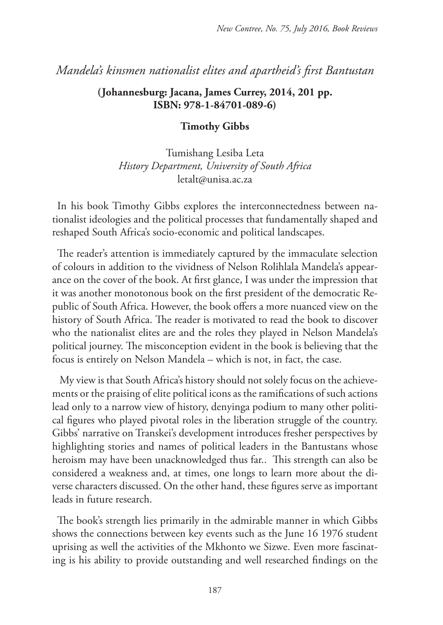## *Mandela's kinsmen nationalist elites and apartheid's first Bantustan*

#### **(Johannesburg: Jacana, James Currey, 2014, 201 pp. ISBN: 978-1-84701-089-6)**

#### **Timothy Gibbs**

Tumishang Lesiba Leta *History Department, University of South Africa* letalt@unisa.ac.za

In his book Timothy Gibbs explores the interconnectedness between nationalist ideologies and the political processes that fundamentally shaped and reshaped South Africa's socio-economic and political landscapes.

The reader's attention is immediately captured by the immaculate selection of colours in addition to the vividness of Nelson Rolihlala Mandela's appearance on the cover of the book. At first glance, I was under the impression that it was another monotonous book on the first president of the democratic Republic of South Africa. However, the book offers a more nuanced view on the history of South Africa. The reader is motivated to read the book to discover who the nationalist elites are and the roles they played in Nelson Mandela's political journey. The misconception evident in the book is believing that the focus is entirely on Nelson Mandela – which is not, in fact, the case.

 My view is that South Africa's history should not solely focus on the achievements or the praising of elite political icons as the ramifications of such actions lead only to a narrow view of history, denyinga podium to many other political figures who played pivotal roles in the liberation struggle of the country. Gibbs' narrative on Transkei's development introduces fresher perspectives by highlighting stories and names of political leaders in the Bantustans whose heroism may have been unacknowledged thus far.. This strength can also be considered a weakness and, at times, one longs to learn more about the diverse characters discussed. On the other hand, these figures serve as important leads in future research.

The book's strength lies primarily in the admirable manner in which Gibbs shows the connections between key events such as the June 16 1976 student uprising as well the activities of the Mkhonto we Sizwe. Even more fascinating is his ability to provide outstanding and well researched findings on the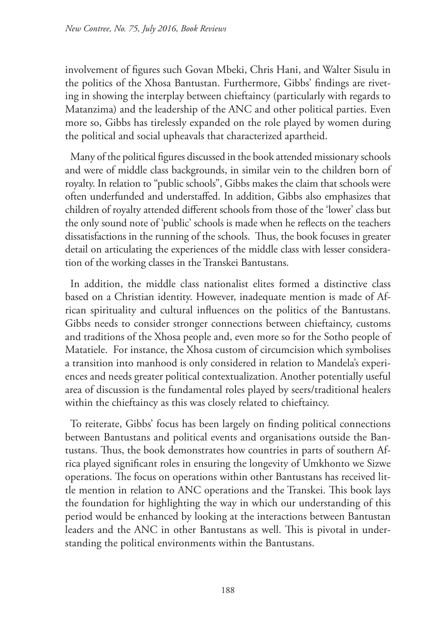involvement of figures such Govan Mbeki, Chris Hani, and Walter Sisulu in the politics of the Xhosa Bantustan. Furthermore, Gibbs' findings are riveting in showing the interplay between chieftaincy (particularly with regards to Matanzima) and the leadership of the ANC and other political parties. Even more so, Gibbs has tirelessly expanded on the role played by women during the political and social upheavals that characterized apartheid.

Many of the political figures discussed in the book attended missionary schools and were of middle class backgrounds, in similar vein to the children born of royalty. In relation to "public schools", Gibbs makes the claim that schools were often underfunded and understaffed. In addition, Gibbs also emphasizes that children of royalty attended different schools from those of the 'lower' class but the only sound note of 'public' schools is made when he reflects on the teachers dissatisfactions in the running of the schools. Thus, the book focuses in greater detail on articulating the experiences of the middle class with lesser consideration of the working classes in the Transkei Bantustans.

In addition, the middle class nationalist elites formed a distinctive class based on a Christian identity. However, inadequate mention is made of African spirituality and cultural influences on the politics of the Bantustans. Gibbs needs to consider stronger connections between chieftaincy, customs and traditions of the Xhosa people and, even more so for the Sotho people of Matatiele. For instance, the Xhosa custom of circumcision which symbolises a transition into manhood is only considered in relation to Mandela's experiences and needs greater political contextualization. Another potentially useful area of discussion is the fundamental roles played by seers/traditional healers within the chieftaincy as this was closely related to chieftaincy.

To reiterate, Gibbs' focus has been largely on finding political connections between Bantustans and political events and organisations outside the Bantustans. Thus, the book demonstrates how countries in parts of southern Africa played significant roles in ensuring the longevity of Umkhonto we Sizwe operations. The focus on operations within other Bantustans has received little mention in relation to ANC operations and the Transkei. This book lays the foundation for highlighting the way in which our understanding of this period would be enhanced by looking at the interactions between Bantustan leaders and the ANC in other Bantustans as well. This is pivotal in understanding the political environments within the Bantustans.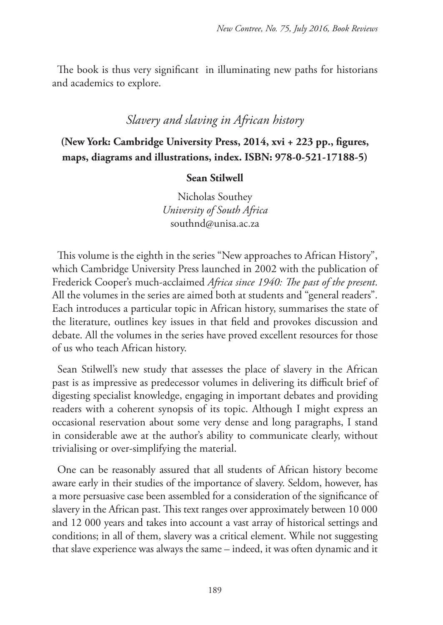The book is thus very significant in illuminating new paths for historians and academics to explore.

## *Slavery and slaving in African history*

# **(New York: Cambridge University Press, 2014, xvi + 223 pp., figures, maps, diagrams and illustrations, index. ISBN: 978-0-521-17188-5)**

#### **Sean Stilwell**

Nicholas Southey *University of South Africa* southnd@unisa.ac.za

This volume is the eighth in the series "New approaches to African History", which Cambridge University Press launched in 2002 with the publication of Frederick Cooper's much-acclaimed *Africa since 1940: The past of the present*. All the volumes in the series are aimed both at students and "general readers". Each introduces a particular topic in African history, summarises the state of the literature, outlines key issues in that field and provokes discussion and debate. All the volumes in the series have proved excellent resources for those of us who teach African history.

Sean Stilwell's new study that assesses the place of slavery in the African past is as impressive as predecessor volumes in delivering its difficult brief of digesting specialist knowledge, engaging in important debates and providing readers with a coherent synopsis of its topic. Although I might express an occasional reservation about some very dense and long paragraphs, I stand in considerable awe at the author's ability to communicate clearly, without trivialising or over-simplifying the material.

One can be reasonably assured that all students of African history become aware early in their studies of the importance of slavery. Seldom, however, has a more persuasive case been assembled for a consideration of the significance of slavery in the African past. This text ranges over approximately between 10 000 and 12 000 years and takes into account a vast array of historical settings and conditions; in all of them, slavery was a critical element. While not suggesting that slave experience was always the same – indeed, it was often dynamic and it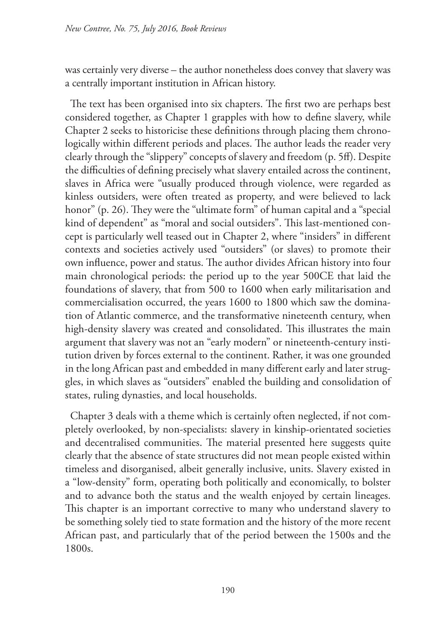was certainly very diverse – the author nonetheless does convey that slavery was a centrally important institution in African history.

The text has been organised into six chapters. The first two are perhaps best considered together, as Chapter 1 grapples with how to define slavery, while Chapter 2 seeks to historicise these definitions through placing them chronologically within different periods and places. The author leads the reader very clearly through the "slippery" concepts of slavery and freedom (p. 5ff). Despite the difficulties of defining precisely what slavery entailed across the continent, slaves in Africa were "usually produced through violence, were regarded as kinless outsiders, were often treated as property, and were believed to lack honor" (p. 26). They were the "ultimate form" of human capital and a "special kind of dependent" as "moral and social outsiders". This last-mentioned concept is particularly well teased out in Chapter 2, where "insiders" in different contexts and societies actively used "outsiders" (or slaves) to promote their own influence, power and status. The author divides African history into four main chronological periods: the period up to the year 500CE that laid the foundations of slavery, that from 500 to 1600 when early militarisation and commercialisation occurred, the years 1600 to 1800 which saw the domination of Atlantic commerce, and the transformative nineteenth century, when high-density slavery was created and consolidated. This illustrates the main argument that slavery was not an "early modern" or nineteenth-century institution driven by forces external to the continent. Rather, it was one grounded in the long African past and embedded in many different early and later struggles, in which slaves as "outsiders" enabled the building and consolidation of states, ruling dynasties, and local households.

Chapter 3 deals with a theme which is certainly often neglected, if not completely overlooked, by non-specialists: slavery in kinship-orientated societies and decentralised communities. The material presented here suggests quite clearly that the absence of state structures did not mean people existed within timeless and disorganised, albeit generally inclusive, units. Slavery existed in a "low-density" form, operating both politically and economically, to bolster and to advance both the status and the wealth enjoyed by certain lineages. This chapter is an important corrective to many who understand slavery to be something solely tied to state formation and the history of the more recent African past, and particularly that of the period between the 1500s and the 1800s.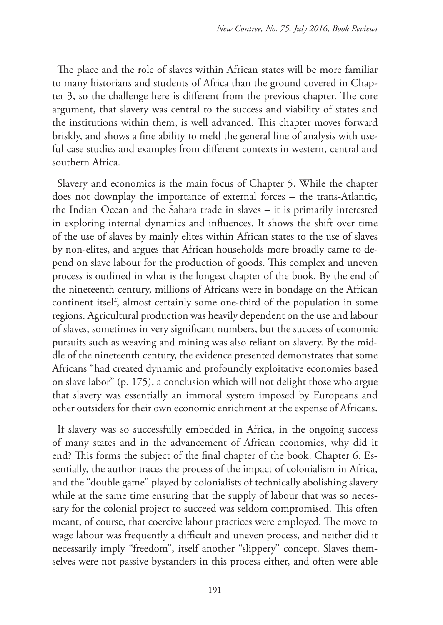The place and the role of slaves within African states will be more familiar to many historians and students of Africa than the ground covered in Chapter 3, so the challenge here is different from the previous chapter. The core argument, that slavery was central to the success and viability of states and the institutions within them, is well advanced. This chapter moves forward briskly, and shows a fine ability to meld the general line of analysis with useful case studies and examples from different contexts in western, central and southern Africa.

Slavery and economics is the main focus of Chapter 5. While the chapter does not downplay the importance of external forces – the trans-Atlantic, the Indian Ocean and the Sahara trade in slaves – it is primarily interested in exploring internal dynamics and influences. It shows the shift over time of the use of slaves by mainly elites within African states to the use of slaves by non-elites, and argues that African households more broadly came to depend on slave labour for the production of goods. This complex and uneven process is outlined in what is the longest chapter of the book. By the end of the nineteenth century, millions of Africans were in bondage on the African continent itself, almost certainly some one-third of the population in some regions. Agricultural production was heavily dependent on the use and labour of slaves, sometimes in very significant numbers, but the success of economic pursuits such as weaving and mining was also reliant on slavery. By the middle of the nineteenth century, the evidence presented demonstrates that some Africans "had created dynamic and profoundly exploitative economies based on slave labor" (p. 175), a conclusion which will not delight those who argue that slavery was essentially an immoral system imposed by Europeans and other outsiders for their own economic enrichment at the expense of Africans.

If slavery was so successfully embedded in Africa, in the ongoing success of many states and in the advancement of African economies, why did it end? This forms the subject of the final chapter of the book, Chapter 6. Essentially, the author traces the process of the impact of colonialism in Africa, and the "double game" played by colonialists of technically abolishing slavery while at the same time ensuring that the supply of labour that was so necessary for the colonial project to succeed was seldom compromised. This often meant, of course, that coercive labour practices were employed. The move to wage labour was frequently a difficult and uneven process, and neither did it necessarily imply "freedom", itself another "slippery" concept. Slaves themselves were not passive bystanders in this process either, and often were able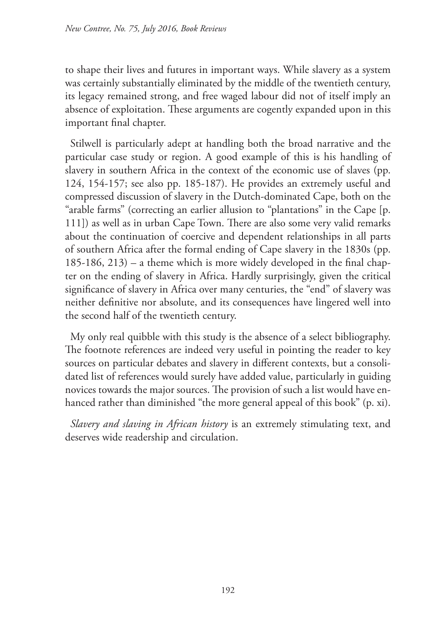to shape their lives and futures in important ways. While slavery as a system was certainly substantially eliminated by the middle of the twentieth century, its legacy remained strong, and free waged labour did not of itself imply an absence of exploitation. These arguments are cogently expanded upon in this important final chapter.

Stilwell is particularly adept at handling both the broad narrative and the particular case study or region. A good example of this is his handling of slavery in southern Africa in the context of the economic use of slaves (pp. 124, 154-157; see also pp. 185-187). He provides an extremely useful and compressed discussion of slavery in the Dutch-dominated Cape, both on the "arable farms" (correcting an earlier allusion to "plantations" in the Cape [p. 111]) as well as in urban Cape Town. There are also some very valid remarks about the continuation of coercive and dependent relationships in all parts of southern Africa after the formal ending of Cape slavery in the 1830s (pp. 185-186, 213) – a theme which is more widely developed in the final chapter on the ending of slavery in Africa. Hardly surprisingly, given the critical significance of slavery in Africa over many centuries, the "end" of slavery was neither definitive nor absolute, and its consequences have lingered well into the second half of the twentieth century.

My only real quibble with this study is the absence of a select bibliography. The footnote references are indeed very useful in pointing the reader to key sources on particular debates and slavery in different contexts, but a consolidated list of references would surely have added value, particularly in guiding novices towards the major sources. The provision of such a list would have enhanced rather than diminished "the more general appeal of this book" (p. xi).

*Slavery and slaving in African history* is an extremely stimulating text, and deserves wide readership and circulation.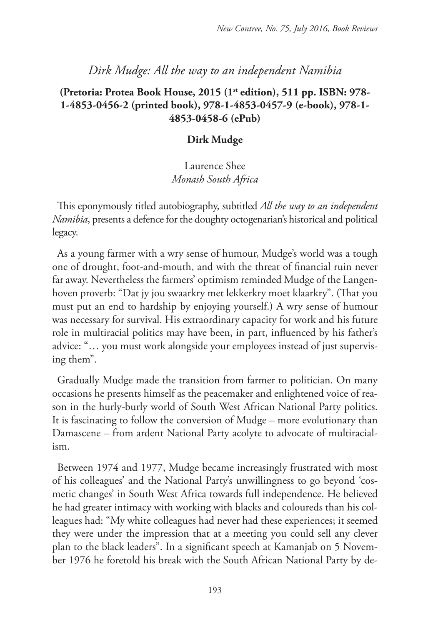## *Dirk Mudge: All the way to an independent Namibia*

## **(Pretoria: Protea Book House, 2015 (1st edition), 511 pp. ISBN: 978- 1-4853-0456-2 (printed book), 978-1-4853-0457-9 (e-book), 978-1- 4853-0458-6 (ePub)**

#### **Dirk Mudge**

## Laurence Shee *Monash South Africa*

This eponymously titled autobiography, subtitled *All the way to an independent Namibia*, presents a defence for the doughty octogenarian's historical and political legacy.

As a young farmer with a wry sense of humour, Mudge's world was a tough one of drought, foot-and-mouth, and with the threat of financial ruin never far away. Nevertheless the farmers' optimism reminded Mudge of the Langenhoven proverb: "Dat jy jou swaarkry met lekkerkry moet klaarkry". (That you must put an end to hardship by enjoying yourself.) A wry sense of humour was necessary for survival. His extraordinary capacity for work and his future role in multiracial politics may have been, in part, influenced by his father's advice: "… you must work alongside your employees instead of just supervising them".

Gradually Mudge made the transition from farmer to politician. On many occasions he presents himself as the peacemaker and enlightened voice of reason in the hurly-burly world of South West African National Party politics. It is fascinating to follow the conversion of Mudge – more evolutionary than Damascene – from ardent National Party acolyte to advocate of multiracialism.

Between 1974 and 1977, Mudge became increasingly frustrated with most of his colleagues' and the National Party's unwillingness to go beyond 'cosmetic changes' in South West Africa towards full independence. He believed he had greater intimacy with working with blacks and coloureds than his colleagues had: "My white colleagues had never had these experiences; it seemed they were under the impression that at a meeting you could sell any clever plan to the black leaders". In a significant speech at Kamanjab on 5 November 1976 he foretold his break with the South African National Party by de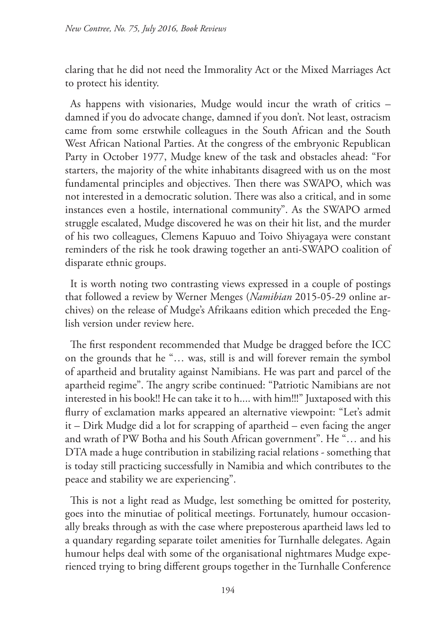claring that he did not need the Immorality Act or the Mixed Marriages Act to protect his identity.

As happens with visionaries, Mudge would incur the wrath of critics – damned if you do advocate change, damned if you don't. Not least, ostracism came from some erstwhile colleagues in the South African and the South West African National Parties. At the congress of the embryonic Republican Party in October 1977, Mudge knew of the task and obstacles ahead: "For starters, the majority of the white inhabitants disagreed with us on the most fundamental principles and objectives. Then there was SWAPO, which was not interested in a democratic solution. There was also a critical, and in some instances even a hostile, international community". As the SWAPO armed struggle escalated, Mudge discovered he was on their hit list, and the murder of his two colleagues, Clemens Kapuuo and Toivo Shiyagaya were constant reminders of the risk he took drawing together an anti-SWAPO coalition of disparate ethnic groups.

It is worth noting two contrasting views expressed in a couple of postings that followed a review by Werner Menges (*Namibian* 2015-05-29 online archives) on the release of Mudge's Afrikaans edition which preceded the English version under review here.

The first respondent recommended that Mudge be dragged before the ICC on the grounds that he "… was, still is and will forever remain the symbol of apartheid and brutality against Namibians. He was part and parcel of the apartheid regime". The angry scribe continued: "Patriotic Namibians are not interested in his book!! He can take it to h.... with him!!!" Juxtaposed with this flurry of exclamation marks appeared an alternative viewpoint: "Let's admit it – Dirk Mudge did a lot for scrapping of apartheid – even facing the anger and wrath of PW Botha and his South African government". He "… and his DTA made a huge contribution in stabilizing racial relations - something that is today still practicing successfully in Namibia and which contributes to the peace and stability we are experiencing".

This is not a light read as Mudge, lest something be omitted for posterity, goes into the minutiae of political meetings. Fortunately, humour occasionally breaks through as with the case where preposterous apartheid laws led to a quandary regarding separate toilet amenities for Turnhalle delegates. Again humour helps deal with some of the organisational nightmares Mudge experienced trying to bring different groups together in the Turnhalle Conference